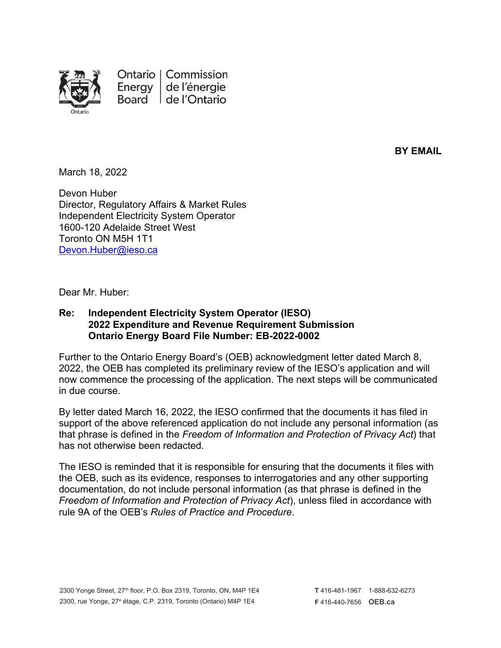

Ontario | Commission de l'énergie Energy Board de l'Ontario

**BY EMAIL**

March 18, 2022

Devon Huber Director, Regulatory Affairs & Market Rules Independent Electricity System Operator 1600-120 Adelaide Street West Toronto ON M5H 1T1 [Devon.Huber@ieso.ca](mailto:Devon.Huber@ieso.ca)

Dear Mr. Huber:

## **Re: Independent Electricity System Operator (IESO) 2022 Expenditure and Revenue Requirement Submission Ontario Energy Board File Number: EB-2022-0002**

Further to the Ontario Energy Board's (OEB) acknowledgment letter dated March 8, 2022, the OEB has completed its preliminary review of the IESO's application and will now commence the processing of the application. The next steps will be communicated in due course.

By letter dated March 16, 2022, the IESO confirmed that the documents it has filed in support of the above referenced application do not include any personal information (as that phrase is defined in the *Freedom of Information and Protection of Privacy Act*) that has not otherwise been redacted.

The IESO is reminded that it is responsible for ensuring that the documents it files with the OEB, such as its evidence, responses to interrogatories and any other supporting documentation, do not include personal information (as that phrase is defined in the *Freedom of Information and Protection of Privacy Act*), unless filed in accordance with rule 9A of the OEB's *Rules of Practice and Procedure*.